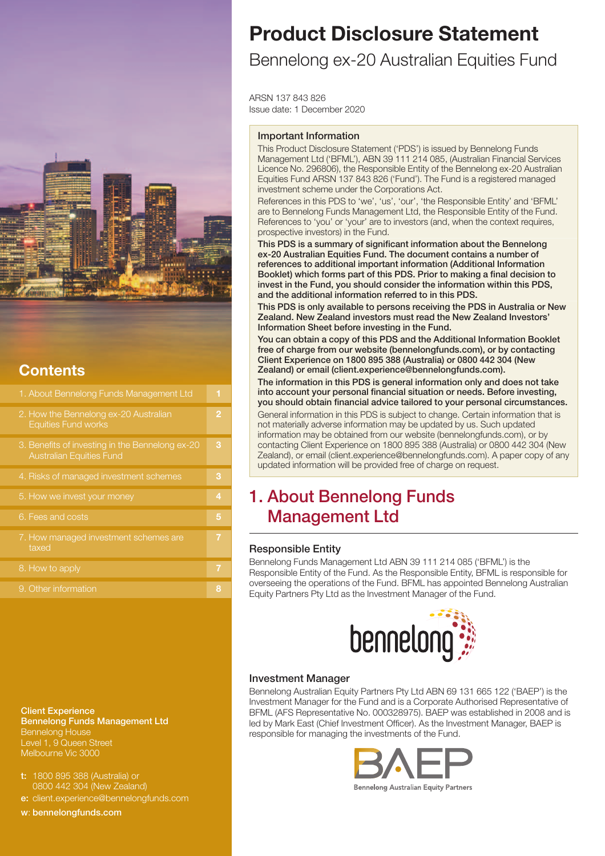

## **Contents**

| 1. About Bennelong Funds Management Ltd                                            | 1              |
|------------------------------------------------------------------------------------|----------------|
| 2. How the Bennelong ex-20 Australian<br><b>Equities Fund works</b>                | $\overline{2}$ |
| 3. Benefits of investing in the Bennelong ex-20<br><b>Australian Equities Fund</b> | 3              |
| 4. Risks of managed investment schemes                                             | з              |
| 5. How we invest your money                                                        | 4              |
| 6. Fees and costs                                                                  | 5              |
| 7. How managed investment schemes are<br>taxed                                     | 7              |
| 8. How to apply                                                                    | 7              |
| 9. Other information                                                               | 8              |

**Client Experience Bennelong Funds Management Ltd** Bennelong House Level 1, 9 Queen Street Melbourne Vic 3000

- **t:** 1800 895 388 (Australia) or 0800 442 304 (New Zealand)
- **e:** client.experience@bennelongfunds.com
- 

**w**: **bennelongfunds.com**

# **Product Disclosure Statement**

## Bennelong ex-20 Australian Equities Fund

ARSN 137 843 826 Issue date: 1 December 2020

### **Important Information**

This Product Disclosure Statement ('PDS') is issued by Bennelong Funds Management Ltd ('BFML'), ABN 39 111 214 085, (Australian Financial Services Licence No. 296806), the Responsible Entity of the Bennelong ex-20 Australian Equities Fund ARSN 137 843 826 ('Fund'). The Fund is a registered managed investment scheme under the Corporations Act.

References in this PDS to 'we', 'us', 'our', 'the Responsible Entity' and 'BFML' are to Bennelong Funds Management Ltd, the Responsible Entity of the Fund. References to 'you' or 'your' are to investors (and, when the context requires, prospective investors) in the Fund.

**This PDS is a summary of significant information about the Bennelong ex-20 Australian Equities Fund. The document contains a number of references to additional important information (Additional Information Booklet) which forms part of this PDS. Prior to making a final decision to invest in the Fund, you should consider the information within this PDS, and the additional information referred to in this PDS.**

**This PDS is only available to persons receiving the PDS in Australia or New Zealand. New Zealand investors must read the New Zealand Investors' Information Sheet before investing in the Fund.**

**You can obtain a copy of this PDS and the Additional Information Booklet free of charge from our website (bennelongfunds.com), or by contacting Client Experience on 1800 895 388 (Australia) or 0800 442 304 (New Zealand) or email (client.experience@bennelongfunds.com).**

**The information in this PDS is general information only and does not take into account your personal financial situation or needs. Before investing, you should obtain financial advice tailored to your personal circumstances.**

General information in this PDS is subject to change. Certain information that is not materially adverse information may be updated by us. Such updated information may be obtained from our website (bennelongfunds.com), or by contacting Client Experience on 1800 895 388 (Australia) or 0800 442 304 (New Zealand), or email (client.experience@bennelongfunds.com). A paper copy of any updated information will be provided free of charge on request.

## **1. About Bennelong Funds Management Ltd**

## **Responsible Entity**

Bennelong Funds Management Ltd ABN 39 111 214 085 ('BFML') is the Responsible Entity of the Fund. As the Responsible Entity, BFML is responsible for overseeing the operations of the Fund. BFML has appointed Bennelong Australian Equity Partners Pty Ltd as the Investment Manager of the Fund.



## **Investment Manager**

Bennelong Australian Equity Partners Pty Ltd ABN 69 131 665 122 ('BAEP') is the Investment Manager for the Fund and is a Corporate Authorised Representative of BFML (AFS Representative No. 000328975). BAEP was established in 2008 and is led by Mark East (Chief Investment Officer). As the Investment Manager, BAEP is responsible for managing the investments of the Fund.

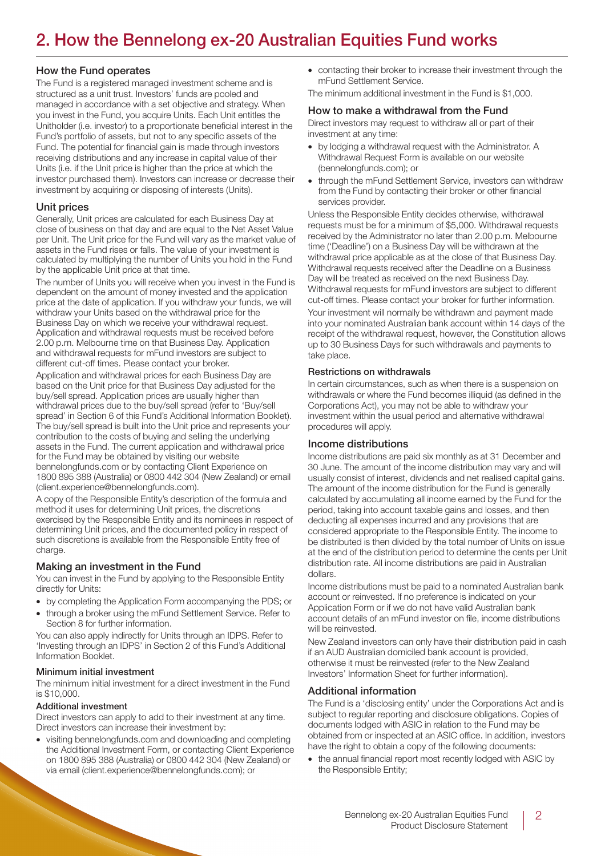## **2. How the Bennelong ex-20 Australian Equities Fund works**

### **How the Fund operates**

The Fund is a registered managed investment scheme and is structured as a unit trust. Investors' funds are pooled and managed in accordance with a set objective and strategy. When you invest in the Fund, you acquire Units. Each Unit entitles the Unitholder (i.e. investor) to a proportionate beneficial interest in the Fund's portfolio of assets, but not to any specific assets of the Fund. The potential for financial gain is made through investors receiving distributions and any increase in capital value of their Units (i.e. if the Unit price is higher than the price at which the investor purchased them). Investors can increase or decrease their investment by acquiring or disposing of interests (Units).

## **Unit prices**

Generally, Unit prices are calculated for each Business Day at close of business on that day and are equal to the Net Asset Value per Unit. The Unit price for the Fund will vary as the market value of assets in the Fund rises or falls. The value of your investment is calculated by multiplying the number of Units you hold in the Fund by the applicable Unit price at that time.

The number of Units you will receive when you invest in the Fund is dependent on the amount of money invested and the application price at the date of application. If you withdraw your funds, we will withdraw your Units based on the withdrawal price for the Business Day on which we receive your withdrawal request. Application and withdrawal requests must be received before 2.00 p.m. Melbourne time on that Business Day. Application and withdrawal requests for mFund investors are subject to different cut-off times. Please contact your broker.

Application and withdrawal prices for each Business Day are based on the Unit price for that Business Day adjusted for the buy/sell spread. Application prices are usually higher than withdrawal prices due to the buy/sell spread (refer to 'Buy/sell spread' in Section 6 of this Fund's Additional Information Booklet). The buy/sell spread is built into the Unit price and represents your contribution to the costs of buying and selling the underlying assets in the Fund. The current application and withdrawal price for the Fund may be obtained by visiting our website bennelongfunds.com or by contacting Client Experience on 1800 895 388 (Australia) or 0800 442 304 (New Zealand) or email (client.experience@bennelongfunds.com).

A copy of the Responsible Entity's description of the formula and method it uses for determining Unit prices, the discretions exercised by the Responsible Entity and its nominees in respect of determining Unit prices, and the documented policy in respect of such discretions is available from the Responsible Entity free of charge.

## **Making an investment in the Fund**

You can invest in the Fund by applying to the Responsible Entity directly for Units:

- by completing the Application Form accompanying the PDS; or
- through a broker using the mFund Settlement Service. Refer to Section 8 for further information.

You can also apply indirectly for Units through an IDPS. Refer to 'Investing through an IDPS' in Section 2 of this Fund's Additional Information Booklet.

#### **Minimum initial investment**

The minimum initial investment for a direct investment in the Fund is \$10,000.

#### **Additional investment**

Direct investors can apply to add to their investment at any time. Direct investors can increase their investment by:

• visiting bennelongfunds.com and downloading and completing the Additional Investment Form, or contacting Client Experience on 1800 895 388 (Australia) or 0800 442 304 (New Zealand) or via email (client.experience@bennelongfunds.com); or

• contacting their broker to increase their investment through the mFund Settlement Service.

The minimum additional investment in the Fund is \$1,000.

### **How to make a withdrawal from the Fund**

Direct investors may request to withdraw all or part of their investment at any time:

- by lodging a withdrawal request with the Administrator. A Withdrawal Request Form is available on our website (bennelongfunds.com); or
- through the mFund Settlement Service, investors can withdraw from the Fund by contacting their broker or other financial services provider.

Unless the Responsible Entity decides otherwise, withdrawal requests must be for a minimum of \$5,000. Withdrawal requests received by the Administrator no later than 2.00 p.m. Melbourne time ('Deadline') on a Business Day will be withdrawn at the withdrawal price applicable as at the close of that Business Day. Withdrawal requests received after the Deadline on a Business Day will be treated as received on the next Business Day. Withdrawal requests for mFund investors are subject to different cut-off times. Please contact your broker for further information.

Your investment will normally be withdrawn and payment made into your nominated Australian bank account within 14 days of the receipt of the withdrawal request, however, the Constitution allows up to 30 Business Days for such withdrawals and payments to take place.

#### **Restrictions on withdrawals**

In certain circumstances, such as when there is a suspension on withdrawals or where the Fund becomes illiquid (as defined in the Corporations Act), you may not be able to withdraw your investment within the usual period and alternative withdrawal procedures will apply.

#### **Income distributions**

Income distributions are paid six monthly as at 31 December and 30 June. The amount of the income distribution may vary and will usually consist of interest, dividends and net realised capital gains. The amount of the income distribution for the Fund is generally calculated by accumulating all income earned by the Fund for the period, taking into account taxable gains and losses, and then deducting all expenses incurred and any provisions that are considered appropriate to the Responsible Entity. The income to be distributed is then divided by the total number of Units on issue at the end of the distribution period to determine the cents per Unit distribution rate. All income distributions are paid in Australian dollars.

Income distributions must be paid to a nominated Australian bank account or reinvested. If no preference is indicated on your Application Form or if we do not have valid Australian bank account details of an mFund investor on file, income distributions will be reinvested.

New Zealand investors can only have their distribution paid in cash if an AUD Australian domiciled bank account is provided, otherwise it must be reinvested (refer to the New Zealand Investors' Information Sheet for further information).

## **Additional information**

The Fund is a 'disclosing entity' under the Corporations Act and is subject to regular reporting and disclosure obligations. Copies of documents lodged with ASIC in relation to the Fund may be obtained from or inspected at an ASIC office. In addition, investors have the right to obtain a copy of the following documents:

• the annual financial report most recently lodged with ASIC by the Responsible Entity;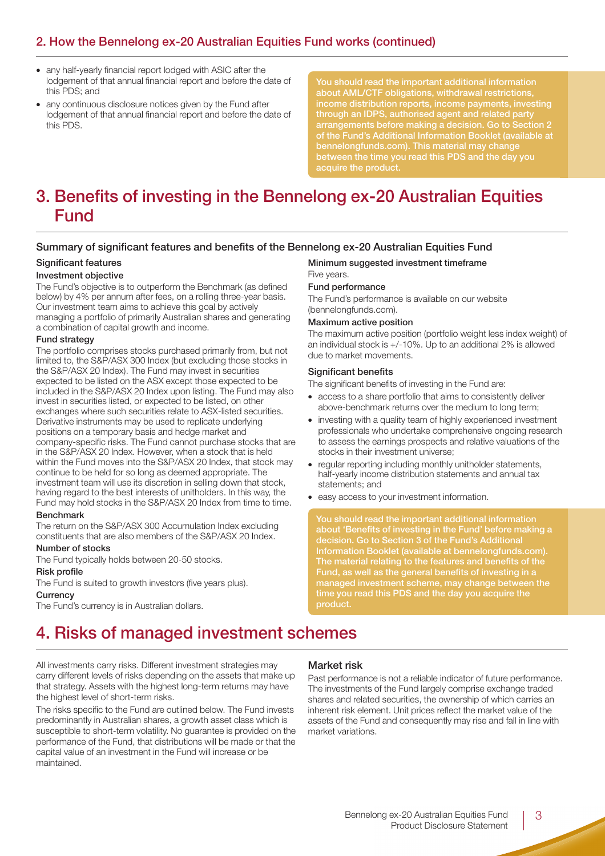## **2. How the Bennelong ex-20 Australian Equities Fund works (continued)**

- any half-yearly financial report lodged with ASIC after the lodgement of that annual financial report and before the date of this PDS; and
- any continuous disclosure notices given by the Fund after lodgement of that annual financial report and before the date of this PDS.

**about AML/CTF obligations, withdrawal restrictions, through an IDPS, authorised agent and related party arrangements before making a decision. Go to Section 2 of the Fund's Additional Information Booklet (available at between the time you read this PDS and the day you**

## **3. Benefits of investing in the Bennelong ex-20 Australian Equities Fund**

## **Summary of significant features and benefits of the Bennelong ex-20 Australian Equities Fund**

#### **Significant features**

#### **Investment objective**

The Fund's objective is to outperform the Benchmark (as defined below) by 4% per annum after fees, on a rolling three-year basis. Our investment team aims to achieve this goal by actively managing a portfolio of primarily Australian shares and generating a combination of capital growth and income.

#### **Fund strategy**

The portfolio comprises stocks purchased primarily from, but not limited to, the S&P/ASX 300 Index (but excluding those stocks in the S&P/ASX 20 Index). The Fund may invest in securities expected to be listed on the ASX except those expected to be included in the S&P/ASX 20 Index upon listing. The Fund may also invest in securities listed, or expected to be listed, on other exchanges where such securities relate to ASX-listed securities. Derivative instruments may be used to replicate underlying positions on a temporary basis and hedge market and company-specific risks. The Fund cannot purchase stocks that are in the S&P/ASX 20 Index. However, when a stock that is held within the Fund moves into the S&P/ASX 20 Index, that stock may continue to be held for so long as deemed appropriate. The investment team will use its discretion in selling down that stock, having regard to the best interests of unitholders. In this way, the Fund may hold stocks in the S&P/ASX 20 Index from time to time.

#### **Benchmark**

The return on the S&P/ASX 300 Accumulation Index excluding constituents that are also members of the S&P/ASX 20 Index.

#### **Number of stocks**

The Fund typically holds between 20-50 stocks.

#### **Risk profile**

The Fund is suited to growth investors (five years plus).

#### **Currency**

The Fund's currency is in Australian dollars.

## **Minimum suggested investment timeframe** Five years.

### **Fund performance**

The Fund's performance is available on our website (bennelongfunds.com).

#### **Maximum active position**

The maximum active position (portfolio weight less index weight) of an individual stock is +/-10%. Up to an additional 2% is allowed due to market movements.

#### **Significant benefits**

The significant benefits of investing in the Fund are:

- access to a share portfolio that aims to consistently deliver above-benchmark returns over the medium to long term;
- investing with a quality team of highly experienced investment professionals who undertake comprehensive ongoing research to assess the earnings prospects and relative valuations of the stocks in their investment universe;
- regular reporting including monthly unitholder statements, half-yearly income distribution statements and annual tax statements; and
- easy access to your investment information.

**You should read the important additional information about 'Benefits of investing in the Fund' before making a decision. Go to Section 3 of the Fund's Additional Information Booklet (available at bennelongfunds.com). The material relating to the features and benefits of the Fund, as well as the general benefits of investing in a time you read this PDS and the day you acquire the product.**

## **4. Risks of managed investment schemes**

All investments carry risks. Different investment strategies may carry different levels of risks depending on the assets that make up that strategy. Assets with the highest long-term returns may have the highest level of short-term risks.

The risks specific to the Fund are outlined below. The Fund invests predominantly in Australian shares, a growth asset class which is susceptible to short-term volatility. No guarantee is provided on the performance of the Fund, that distributions will be made or that the capital value of an investment in the Fund will increase or be maintained.

## **Market risk**

Past performance is not a reliable indicator of future performance. The investments of the Fund largely comprise exchange traded shares and related securities, the ownership of which carries an inherent risk element. Unit prices reflect the market value of the assets of the Fund and consequently may rise and fall in line with market variations.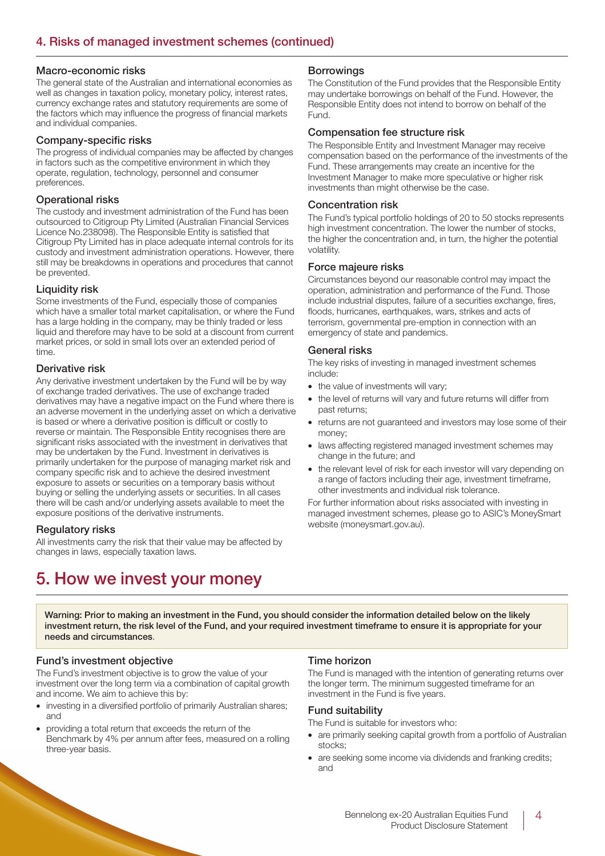### **Macro-economic risks**

The general state of the Australian and international economies as well as changes in taxation policy, monetary policy, interest rates, currency exchange rates and statutory requirements are some of the factors which may influence the progress of financial markets and individual companies.

#### **Company-specific risks**

The progress of individual companies may be affected by changes in factors such as the competitive environment in which they operate, regulation, technology, personnel and consumer preferences.

## **Operational risks**

The custody and investment administration of the Fund has been outsourced to Citigroup Pty Limited (Australian Financial Services Licence No.238098). The Responsible Entity is satisfied that Citigroup Pty Limited has in place adequate internal controls for its custody and investment administration operations. However, there still may be breakdowns in operations and procedures that cannot be prevented.

## **Liquidity risk**

Some investments of the Fund, especially those of companies which have a smaller total market capitalisation, or where the Fund has a large holding in the company, may be thinly traded or less liquid and therefore may have to be sold at a discount from current market prices, or sold in small lots over an extended period of time.

## **Derivative risk**

Any derivative investment undertaken by the Fund will be by way of exchange traded derivatives. The use of exchange traded derivatives may have a negative impact on the Fund where there is an adverse movement in the underlying asset on which a derivative is based or where a derivative position is difficult or costly to reverse or maintain. The Responsible Entity recognises there are significant risks associated with the investment in derivatives that may be undertaken by the Fund. Investment in derivatives is primarily undertaken for the purpose of managing market risk and company specific risk and to achieve the desired investment exposure to assets or securities on a temporary basis without buying or selling the underlying assets or securities. In all cases there will be cash and/or underlying assets available to meet the exposure positions of the derivative instruments.

## **Regulatory risks**

All investments carry the risk that their value may be affected by changes in laws, especially taxation laws.

## **Borrowings**

The Constitution of the Fund provides that the Responsible Entity may undertake borrowings on behalf of the Fund. However, the Responsible Entity does not intend to borrow on behalf of the Fund.

### **Compensation fee structure risk**

The Responsible Entity and Investment Manager may receive compensation based on the performance of the investments of the Fund. These arrangements may create an incentive for the Investment Manager to make more speculative or higher risk investments than might otherwise be the case.

## **Concentration risk**

The Fund's typical portfolio holdings of 20 to 50 stocks represents high investment concentration. The lower the number of stocks, the higher the concentration and, in turn, the higher the potential volatility.

### **Force majeure risks**

Circumstances beyond our reasonable control may impact the operation, administration and performance of the Fund. Those include industrial disputes, failure of a securities exchange, fires, floods, hurricanes, earthquakes, wars, strikes and acts of terrorism, governmental pre-emption in connection with an emergency of state and pandemics.

### **General risks**

The key risks of investing in managed investment schemes include:

- the value of investments will vary;
- the level of returns will vary and future returns will differ from past returns;
- returns are not guaranteed and investors may lose some of their money;
- laws affecting registered managed investment schemes may change in the future; and
- the relevant level of risk for each investor will vary depending on a range of factors including their age, investment timeframe, other investments and individual risk tolerance.

For further information about risks associated with investing in managed investment schemes, please go to ASIC's MoneySmart website (moneysmart.gov.au).

## **5. How we invest your money**

**Warning: Prior to making an investment in the Fund, you should consider the information detailed below on the likely investment return, the risk level of the Fund, and your required investment timeframe to ensure it is appropriate for your needs and circumstances**.

## **Fund's investment objective**

The Fund's investment objective is to grow the value of your investment over the long term via a combination of capital growth and income. We aim to achieve this by:

- investing in a diversified portfolio of primarily Australian shares; and
- providing a total return that exceeds the return of the Benchmark by 4% per annum after fees, measured on a rolling three-year basis.

## **Time horizon**

The Fund is managed with the intention of generating returns over the longer term. The minimum suggested timeframe for an investment in the Fund is five years.

## **Fund suitability**

The Fund is suitable for investors who:

- are primarily seeking capital growth from a portfolio of Australian stocks;
- are seeking some income via dividends and franking credits; and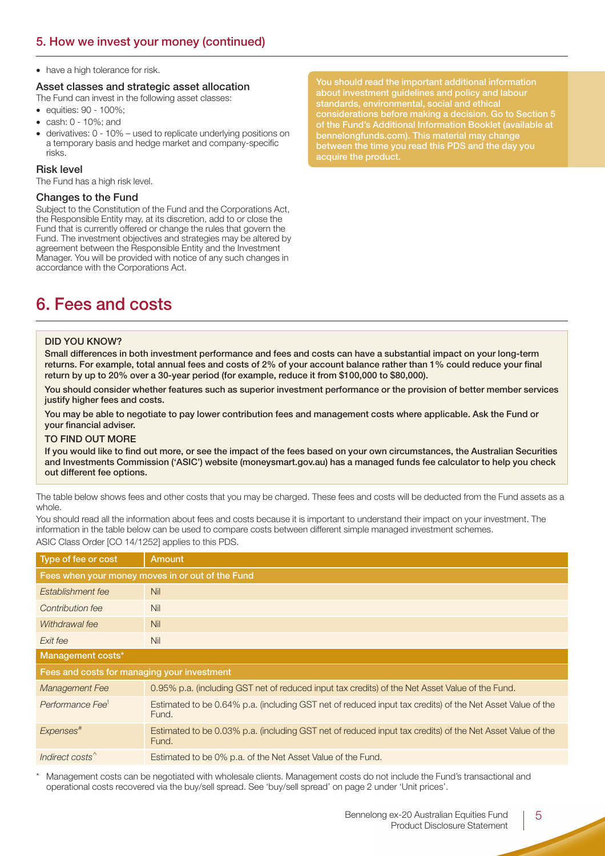• have a high tolerance for risk.

## **Asset classes and strategic asset allocation**

The Fund can invest in the following asset classes:

- equities: 90 100%;
- cash: 0 10%; and
- derivatives: 0 10% used to replicate underlying positions on a temporary basis and hedge market and company-specific risks.

#### **Risk level**

The Fund has a high risk level.

#### **Changes to the Fund**

Subject to the Constitution of the Fund and the Corporations Act, the Responsible Entity may, at its discretion, add to or close the Fund that is currently offered or change the rules that govern the Fund. The investment objectives and strategies may be altered by agreement between the Responsible Entity and the Investment Manager. You will be provided with notice of any such changes in accordance with the Corporations Act.

**about investment guidelines and policy and labour considerations before making a decision. Go to Section 5 of the Fund's Additional Information Booklet (available at bennelongfunds.com). This material may change between the time you read this PDS and the day you acquire the product.**

## **6. Fees and costs**

#### **DID YOU KNOW?**

**Small differences in both investment performance and fees and costs can have a substantial impact on your long-term returns. For example, total annual fees and costs of 2% of your account balance rather than 1% could reduce your final return by up to 20% over a 30-year period (for example, reduce it from \$100,000 to \$80,000).**

**You should consider whether features such as superior investment performance or the provision of better member services justify higher fees and costs.**

**You may be able to negotiate to pay lower contribution fees and management costs where applicable. Ask the Fund or your financial adviser.**

#### **TO FIND OUT MORE**

**If you would like to find out more, or see the impact of the fees based on your own circumstances, the Australian Securities and Investments Commission ('ASIC') website (moneysmart.gov.au) has a managed funds fee calculator to help you check out different fee options.**

The table below shows fees and other costs that you may be charged. These fees and costs will be deducted from the Fund assets as a whole.

You should read all the information about fees and costs because it is important to understand their impact on your investment. The information in the table below can be used to compare costs between different simple managed investment schemes. ASIC Class Order [CO 14/1252] applies to this PDS.

| Type of fee or cost                              | <b>Amount</b>                                                                                                      |  |  |  |
|--------------------------------------------------|--------------------------------------------------------------------------------------------------------------------|--|--|--|
| Fees when your money moves in or out of the Fund |                                                                                                                    |  |  |  |
| Establishment fee                                | Nil                                                                                                                |  |  |  |
| Contribution fee                                 | Nil                                                                                                                |  |  |  |
| Withdrawal fee                                   | Nil                                                                                                                |  |  |  |
| Exit fee                                         | Nil                                                                                                                |  |  |  |
| Management costs*                                |                                                                                                                    |  |  |  |
| Fees and costs for managing your investment      |                                                                                                                    |  |  |  |
| Management Fee                                   | 0.95% p.a. (including GST net of reduced input tax credits) of the Net Asset Value of the Fund.                    |  |  |  |
| Performance Fee!                                 | Estimated to be 0.64% p.a. (including GST net of reduced input tax credits) of the Net Asset Value of the<br>Fund. |  |  |  |
| Expenses <sup>#</sup>                            | Estimated to be 0.03% p.a. (including GST net of reduced input tax credits) of the Net Asset Value of the<br>Fund. |  |  |  |
| Indirect costs <sup>^</sup>                      | Estimated to be 0% p.a. of the Net Asset Value of the Fund.                                                        |  |  |  |

Management costs can be negotiated with wholesale clients. Management costs do not include the Fund's transactional and operational costs recovered via the buy/sell spread. See 'buy/sell spread' on page 2 under 'Unit prices'.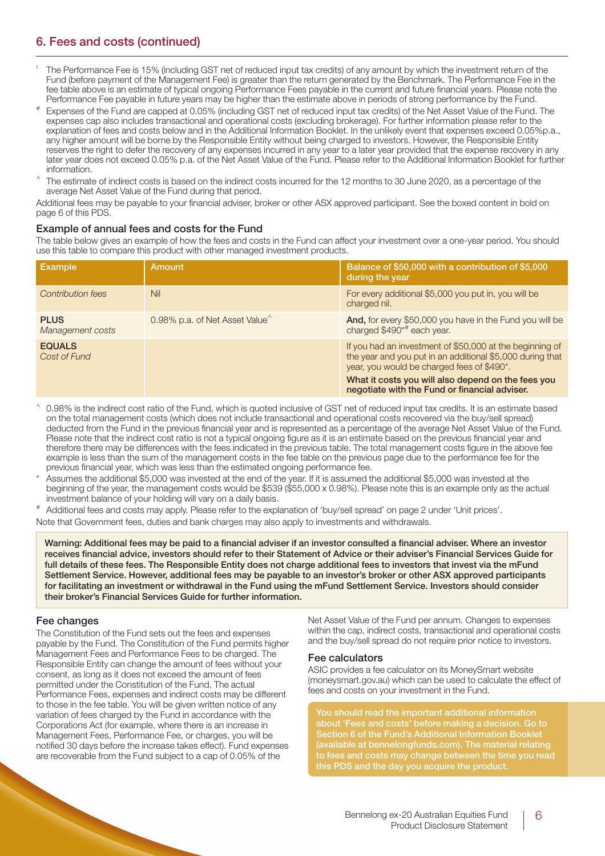## **6. Fees and costs (continued)**

- ! The Performance Fee is 15% (including GST net of reduced input tax credits) of any amount by which the investment return of the Fund (before payment of the Management Fee) is greater than the return generated by the Benchmark. The Performance Fee in the fee table above is an estimate of typical ongoing Performance Fees payable in the current and future financial years. Please note the Performance Fee payable in future years may be higher than the estimate above in periods of strong performance by the Fund.
- Expenses of the Fund are capped at 0.05% (including GST net of reduced input tax credits) of the Net Asset Value of the Fund. The expenses cap also includes transactional and operational costs (excluding brokerage). For further information please refer to the explanation of fees and costs below and in the Additional Information Booklet. In the unlikely event that expenses exceed 0.05%p.a., any higher amount will be borne by the Responsible Entity without being charged to investors. However, the Responsible Entity reserves the right to defer the recovery of any expenses incurred in any year to a later year provided that the expense recovery in any later year does not exceed 0.05% p.a. of the Net Asset Value of the Fund. Please refer to the Additional Information Booklet for further information.
- The estimate of indirect costs is based on the indirect costs incurred for the 12 months to 30 June 2020, as a percentage of the average Net Asset Value of the Fund during that period.

Additional fees may be payable to your financial adviser, broker or other ASX approved participant. See the boxed content in bold on page 6 of this PDS.

#### **Example of annual fees and costs for the Fund**

The table below gives an example of how the fees and costs in the Fund can affect your investment over a one-year period. You should use this table to compare this product with other managed investment products.

| <b>Example</b>                  | <b>Amount</b>                              | Balance of \$50,000 with a contribution of \$5,000<br>during the year                                                                                                                                                     |
|---------------------------------|--------------------------------------------|---------------------------------------------------------------------------------------------------------------------------------------------------------------------------------------------------------------------------|
| <b>Contribution fees</b>        | <b>Nil</b>                                 | For every additional \$5,000 you put in, you will be<br>charged nil.                                                                                                                                                      |
| <b>PLUS</b><br>Management costs | 0.98% p.a. of Net Asset Value <sup>^</sup> | And, for every \$50,000 you have in the Fund you will be<br>charged \$490*# each year.                                                                                                                                    |
| <b>EQUALS</b><br>Cost of Fund   |                                            | If you had an investment of \$50,000 at the beginning of<br>the year and you put in an additional \$5,000 during that<br>year, you would be charged fees of \$490*.<br>What it costs you will also depend on the fees you |
|                                 |                                            | negotiate with the Fund or financial adviser.                                                                                                                                                                             |

- 0.98% is the indirect cost ratio of the Fund, which is quoted inclusive of GST net of reduced input tax credits. It is an estimate based on the total management costs (which does not include transactional and operational costs recovered via the buy/sell spread) deducted from the Fund in the previous financial year and is represented as a percentage of the average Net Asset Value of the Fund. Please note that the indirect cost ratio is not a typical ongoing figure as it is an estimate based on the previous financial year and therefore there may be differences with the fees indicated in the previous table. The total management costs figure in the above fee example is less than the sum of the management costs in the fee table on the previous page due to the performance fee for the previous financial year, which was less than the estimated ongoing performance fee.
- Assumes the additional \$5,000 was invested at the end of the year. If it is assumed the additional \$5,000 was invested at the beginning of the year, the management costs would be \$539 (\$55,000 x 0.98%). Please note this is an example only as the actual investment balance of your holding will vary on a daily basis.
- Additional fees and costs may apply. Please refer to the explanation of 'buy/sell spread' on page 2 under 'Unit prices'.

Note that Government fees, duties and bank charges may also apply to investments and withdrawals.

**Warning: Additional fees may be paid to a financial adviser if an investor consulted a financial adviser. Where an investor receives financial advice, investors should refer to their Statement of Advice or their adviser's Financial Services Guide for full details of these fees. The Responsible Entity does not charge additional fees to investors that invest via the mFund Settlement Service. However, additional fees may be payable to an investor's broker or other ASX approved participants for facilitating an investment or withdrawal in the Fund using the mFund Settlement Service. Investors should consider their broker's Financial Services Guide for further information.**

#### **Fee changes**

The Constitution of the Fund sets out the fees and expenses payable by the Fund. The Constitution of the Fund permits higher Management Fees and Performance Fees to be charged. The Responsible Entity can change the amount of fees without your consent, as long as it does not exceed the amount of fees permitted under the Constitution of the Fund. The actual Performance Fees, expenses and indirect costs may be different to those in the fee table. You will be given written notice of any variation of fees charged by the Fund in accordance with the Corporations Act (for example, where there is an increase in Management Fees, Performance Fee, or charges, you will be notified 30 days before the increase takes effect). Fund expenses are recoverable from the Fund subject to a cap of 0.05% of the

Net Asset Value of the Fund per annum. Changes to expenses within the cap, indirect costs, transactional and operational costs and the buy/sell spread do not require prior notice to investors.

#### **Fee calculators**

ASIC provides a fee calculator on its MoneySmart website (moneysmart.gov.au) which can be used to calculate the effect of fees and costs on your investment in the Fund.

**about 'Fees and costs' before making a decision. Go to Section 6 of the Fund's Additional Information Booklet (available at bennelongfunds.com). The material relating to fees and costs may change between the time you read this PDS and the day you acquire the product.**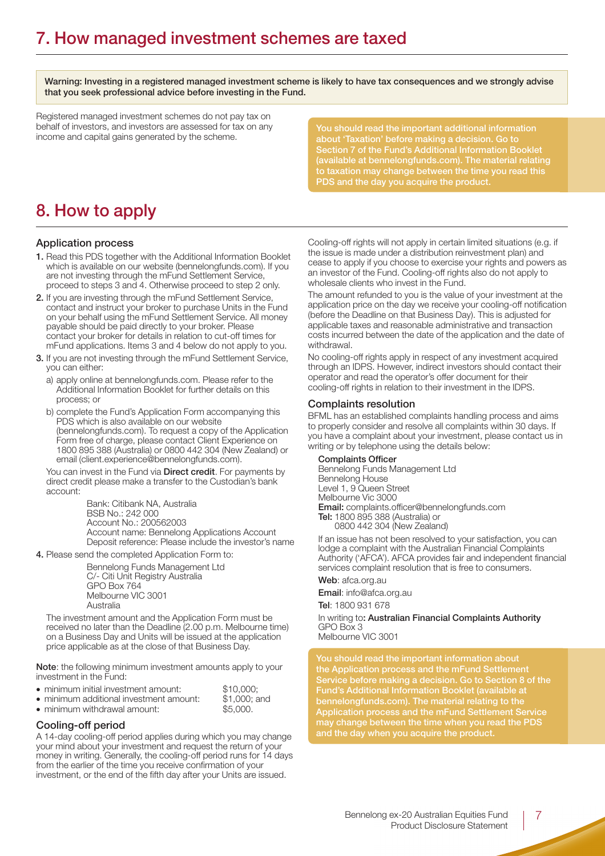**Warning: Investing in a registered managed investment scheme is likely to have tax consequences and we strongly advise that you seek professional advice before investing in the Fund.**

Registered managed investment schemes do not pay tax on behalf of investors, and investors are assessed for tax on any income and capital gains generated by the scheme.

## **8. How to apply**

#### **Application process**

- **1.** Read this PDS together with the Additional Information Booklet which is available on our website (bennelongfunds.com). If you are not investing through the mFund Settlement Service, proceed to steps 3 and 4. Otherwise proceed to step 2 only.
- **2.** If you are investing through the mFund Settlement Service, contact and instruct your broker to purchase Units in the Fund on your behalf using the mFund Settlement Service. All money payable should be paid directly to your broker. Please contact your broker for details in relation to cut-off times for mFund applications. Items 3 and 4 below do not apply to you.
- **3.** If you are not investing through the mFund Settlement Service, you can either:
	- a) apply online at bennelongfunds.com. Please refer to the Additional Information Booklet for further details on this process; or
	- b) complete the Fund's Application Form accompanying this PDS which is also available on our website (bennelongfunds.com). To request a copy of the Application Form free of charge, please contact Client Experience on 1800 895 388 (Australia) or 0800 442 304 (New Zealand) or email (client.experience@bennelongfunds.com).

You can invest in the Fund via **Direct credit**. For payments by direct credit please make a transfer to the Custodian's bank account:

> Bank: Citibank NA, Australia BSB No.: 242 000 Account No.: 200562003 Account name: Bennelong Applications Account Deposit reference: Please include the investor's name

**4.** Please send the completed Application Form to:

Bennelong Funds Management Ltd C/- Citi Unit Registry Australia GPO Box 764 Melbourne VIC 3001 Australia

The investment amount and the Application Form must be received no later than the Deadline (2.00 p.m. Melbourne time) on a Business Day and Units will be issued at the application price applicable as at the close of that Business Day.

**Note**: the following minimum investment amounts apply to your investment in the Fund:

| • minimum initial investment amount:    | \$10,000:    |
|-----------------------------------------|--------------|
| • minimum additional investment amount: | \$1,000; and |
| • minimum withdrawal amount:            | \$5.000.     |

## **Cooling-off period**

A 14-day cooling-off period applies during which you may change your mind about your investment and request the return of your money in writing. Generally, the cooling-off period runs for 14 days from the earlier of the time you receive confirmation of your investment, or the end of the fifth day after your Units are issued.

**(available at bennelongfunds.com). The material relating to taxation may change between the time you read this PDS and the day you acquire the product.**

Cooling-off rights will not apply in certain limited situations (e.g. if the issue is made under a distribution reinvestment plan) and cease to apply if you choose to exercise your rights and powers as an investor of the Fund. Cooling-off rights also do not apply to wholesale clients who invest in the Fund.

The amount refunded to you is the value of your investment at the application price on the day we receive your cooling-off notification (before the Deadline on that Business Day). This is adjusted for applicable taxes and reasonable administrative and transaction costs incurred between the date of the application and the date of withdrawal.

No cooling-off rights apply in respect of any investment acquired through an IDPS. However, indirect investors should contact their operator and read the operator's offer document for their cooling-off rights in relation to their investment in the IDPS.

#### **Complaints resolution**

BFML has an established complaints handling process and aims to properly consider and resolve all complaints within 30 days. If you have a complaint about your investment, please contact us in writing or by telephone using the details below:

#### **Complaints Officer**

Bennelong Funds Management Ltd Bennelong House Level 1, 9 Queen Street Melbourne Vic 3000 **Email:** complaints.officer@bennelongfunds.com **Tel:** 1800 895 388 (Australia) or 0800 442 304 (New Zealand)

If an issue has not been resolved to your satisfaction, you can lodge a complaint with the Australian Financial Complaints Authority ('AFCA'). AFCA provides fair and independent financial services complaint resolution that is free to consumers.

#### **Web**: afca.org.au

**Email**: info@afca.org.au **Tel**: 1800 931 678

In writing to**: Australian Financial Complaints Authority** GPO Box 3 Melbourne VIC 3001

**the Application process and the mFund Settlement Service before making a decision. Go to Section 8 of the Fund's Additional Information Booklet (available at bennelongfunds.com). The material relating to the Application process and the mFund Settlement Service may change between the time when you read the PDS and the day when you acquire the product.**